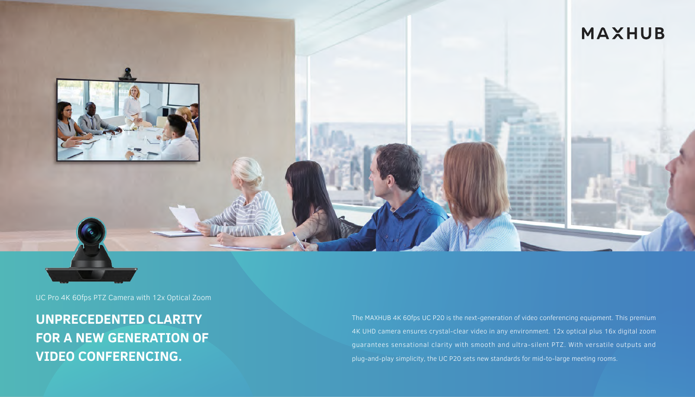

UC Pro 4K 60fps PTZ Camera with 12x Optical Zoom

**UNPRECEDENTED CLARITY FOR A NEW GENERATION OF VIDEO CONFERENCING.** 

The MAXHUB 4K 60fps UC P20 is the next-generation of video conferencing equipment. This premium 4K UHD camera ensures crystal-clear video in any environment. 12x optical plus 16x digital zoom guarantees sensational clarity with smooth and ultra-silent PTZ. With versatile outputs and plug-and-play simplicity, the UC P20 sets new standards for mid-to-large meeting rooms.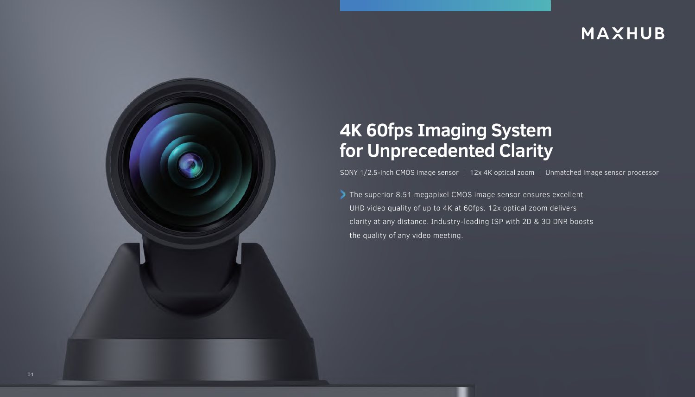

# **4K 60fps Imaging System for Unprecedented Clarity**

SONY 1/2.5-inch CMOS image sensor | 12x 4K optical zoom | Unmatched image sensor processor

The superior 8.51 megapixel CMOS image sensor ensures excellent UHD video quality of up to 4K at 60fps. 12x optical zoom delivers clarity at any distance. Industry-leading ISP with 2D & 3D DNR boosts the quality of any video meeting.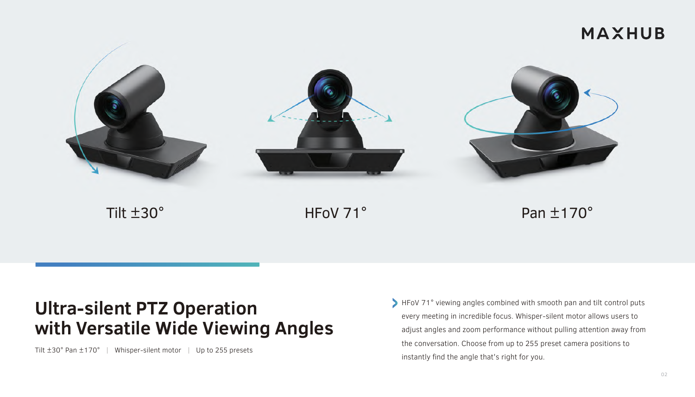

## **Ultra-silent PTZ Operation with Versatile Wide Viewing Angles**

Tilt ±30° Pan ±170° | Whisper-silent motor | Up to 255 presets

HFoV 71° viewing angles combined with smooth pan and tilt control puts every meeting in incredible focus. Whisper-silent motor allows users to adjust angles and zoom performance without pulling attention away from the conversation. Choose from up to 255 preset camera positions to instantly find the angle that's right for you.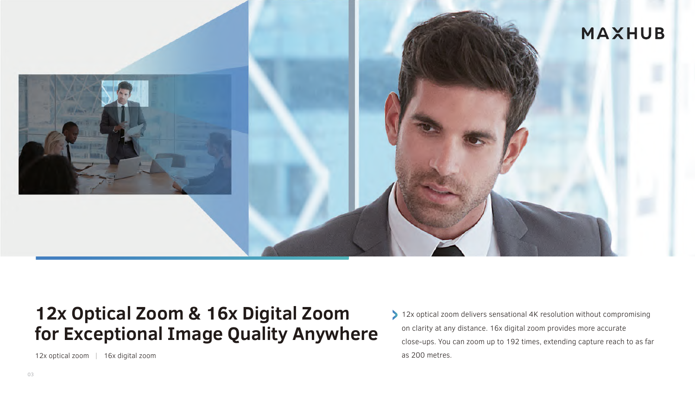

## **12x Optical Zoom & 16x Digital Zoom for Exceptional Image Quality Anywhere**

12x optical zoom delivers sensational 4K resolution without compromising on clarity at any distance. 16x digital zoom provides more accurate close-ups. You can zoom up to 192 times, extending capture reach to as far as 200 metres.

12x optical zoom | 16x digital zoom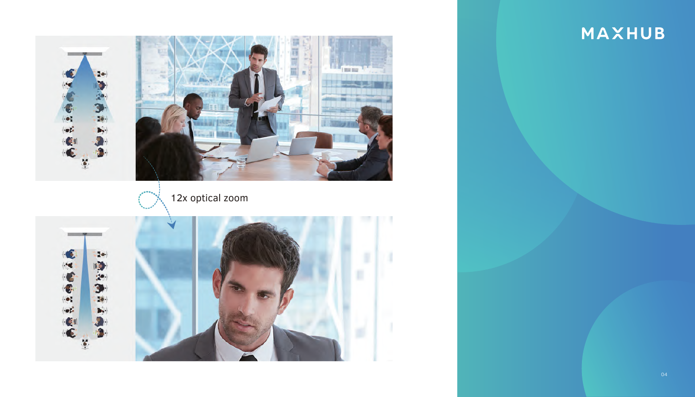# $\begin{array}{c|c} \mathbf{10} \end{array}$  $\ddot{\bullet}$ 12x optical zoom 网络头角片  $\bullet$ оř  $\ddot{\bullet}$

# **MAXHUB**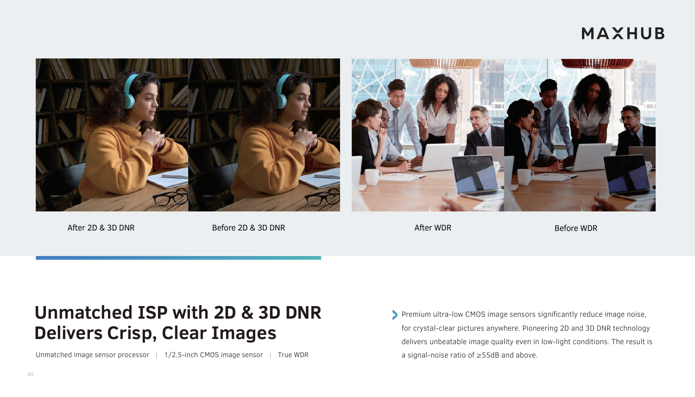

After 2D & 3D DNR Before 2D & 3D DNR Before 2D & 3D DNR Before WDR Before WDR Before WDR

# **Unmatched ISP with 2D & 3D DNR Delivers Crisp, Clear Images**

Unmatched image sensor processor | 1/2.5-inch CMOS image sensor | True WDR

Premium ultra-low CMOS image sensors significantly reduce image noise, for crystal-clear pictures anywhere. Pioneering 2D and 3D DNR technology delivers unbeatable image quality even in low-light conditions. The result is a signal-noise ratio of ≥55dB and above.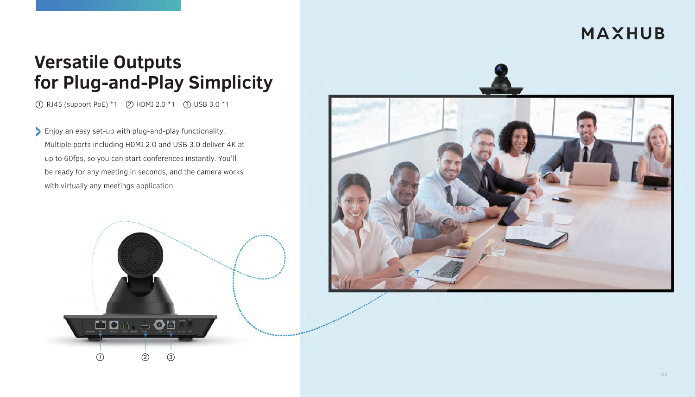# **Versatile Outputs for Plug-and-Play Simplicity**

 $(1)$  RJ45 (support PoE)  $*1$   $(2)$  HDMI 2.0  $*1$   $(3)$  USB 3.0  $*1$ 

Enjoy an easy set-up with plug-and-play functionality. Multiple ports including HDMI 2.0 and USB 3.0 deliver 4K at up to 60fps, so you can start conferences instantly. You'll be ready for any meeting in seconds, and the camera works with virtually any meetings application.

2 3

**io de 1960** 

 $\bigcirc$ 

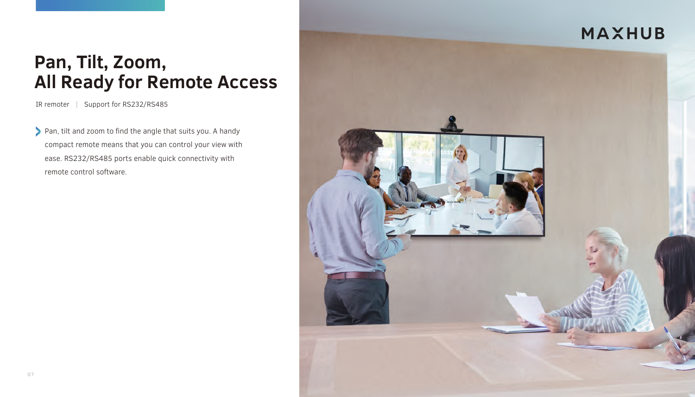# **Pan, Tilt, Zoom, All Ready for Remote Access**

IR remoter | Support for RS232/RS485

Pan, tilt and zoom to find the angle that suits you. A handy compact remote means that you can control your view with ease. RS232/RS485 ports enable quick connectivity with remote control software.

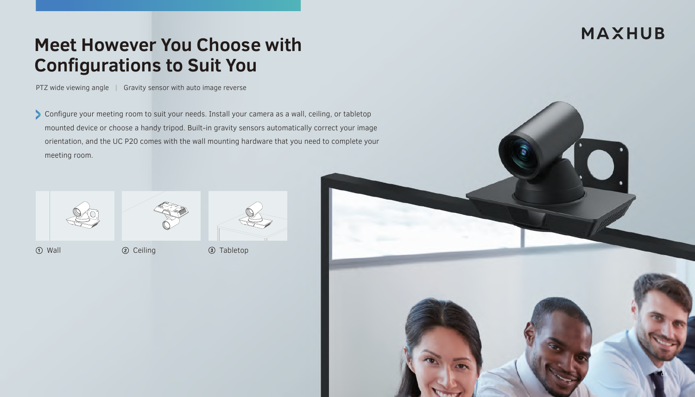# **Meet However You Choose with Configurations to Suit You**

PTZ wide viewing angle | Gravity sensor with auto image reverse

Configure your meeting room to suit your needs. Install your camera as a wall, ceiling, or tabletop mounted device or choose a handy tripod. Built-in gravity sensors automatically correct your image orientation, and the UC P20 comes with the wall mounting hardware that you need to complete your meeting room.





Wall Ceiling Tabletop

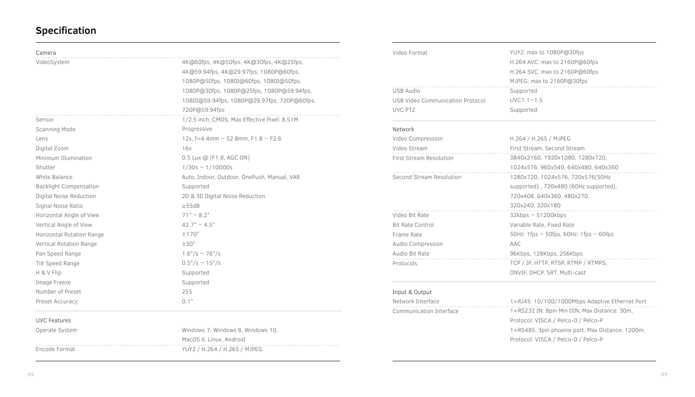#### **Specification**

| Camera                        |                                              |
|-------------------------------|----------------------------------------------|
| VideoSystem                   | 4K@60fps, 4K@50fps, 4K@30fps, 4K@25fps,      |
|                               | 4K@59.94fps, 4K@29.97fps, 1080P@60fps,       |
|                               | 1080P@50fps, 1080I@60fps, 1080I@50fps,       |
|                               | 1080P@30fps, 1080P@25fps, 1080P@59.94fps,    |
|                               | 1080I@59.94fps, 1080P@29.97fps, 720P@60fps,  |
|                               | 720P@59.94fps                                |
| Sensor                        | 1/2.5 inch, CMOS, Max Effective Pixel: 8.51M |
| Scanning Mode                 | Progressive                                  |
| Lens                          | 12x, f=4.4mm ~ 52.8mm, F1.8 ~ F2.6           |
| Digital Zoom                  | 16x                                          |
| Minimum Illumination          | 0.5 Lux @ (F1.8, AGC ON)                     |
| Shutter                       | $1/30s \sim 1/10000s$                        |
| White Balance                 | Auto, Indoor, Outdoor, OnePush, Manual, VAR  |
| <b>Backlight Compensation</b> | Supported                                    |
| Digital Noise Reduction       | 2D & 3D Digital Noise Reduction              |
| Signal Noise Ratio            | $\geq$ 55dB                                  |
| Horizontal Angle of View      | $71^{\circ} \sim 8.2^{\circ}$                |
| Vertical Angle of View        | $42.7^{\circ} \sim 4.5^{\circ}$              |
| Horizontal Rotation Range     | $+170^\circ$                                 |
| Vertical Rotation Range       | $+30^\circ$                                  |
| Pan Speed Range               | $1.6^{\circ}/s \sim 76^{\circ}/s$            |
| Tilt Speed Range              | $0.5^{\circ}/s \sim 15^{\circ}/s$            |
| H & V Flip                    | Supported                                    |
| Image Freeze                  | Supported                                    |
| Number of Preset              | 255                                          |
| Preset Accuracy               | $0.1^\circ$                                  |

#### Video Format USB Audio USB Video Communication Protocol UVC PTZ Network Video Compression Video Stream First Stream Resolution Second Stream Resolution Video Bit Rate Bit Rate Control Frame Rate Audio Compression Audio Bit Rate Protocols Input & Output Network Interface Communication Interface YUY2: max to 1080P@30fps H.264 AVC: max to 2160P@60fps H.264 SVC: max to 2160P@60fps MJPEG: max to 2160P@30fps Supported  $UVC1.1~1~1.5$ Supported H.264 / H.265 / MJPEG First Stream, Second Stream 3840x2160, 1920x1080, 1280x720, 1024x576, 960x540, 640x480, 640x360 1280x720, 1024x576, 720x576(50Hz supported) , 720x480 (60Hz supported), 720x408, 640x360, 480x270, 320x240, 320x180 32kbps ~ 51200kbps Variable Rate, Fixed Rate 50Hz: 1fps  $\sim$  50fps, 60Hz: 1fps  $\sim$  60fps AAC 96Kbps, 128Kbps, 256Kbps TCP / IP, HTTP, RTSP, RTMP / RTMPS, ONVIF, DHCP, SRT, Multi-cast 1×RJ45: 10/100/1000Mbps Adaptive Ethernet Port 1×RS232 IN: 8pin Min DIN, Max Distance: 30m, Protocol: VISCA / Pelco-D / Pelco-P 1×RS485: 3pin phoenix port, Max Distance: 1200m,

Protocol: VISCA / Pelco-D / Pelco-P

#### UVC Features

Operate System Encode Format Windows 7, Windows 8, Windows 10, MacOS X, Linux, Android YUY2 / H.264 / H.265 / MJPEG